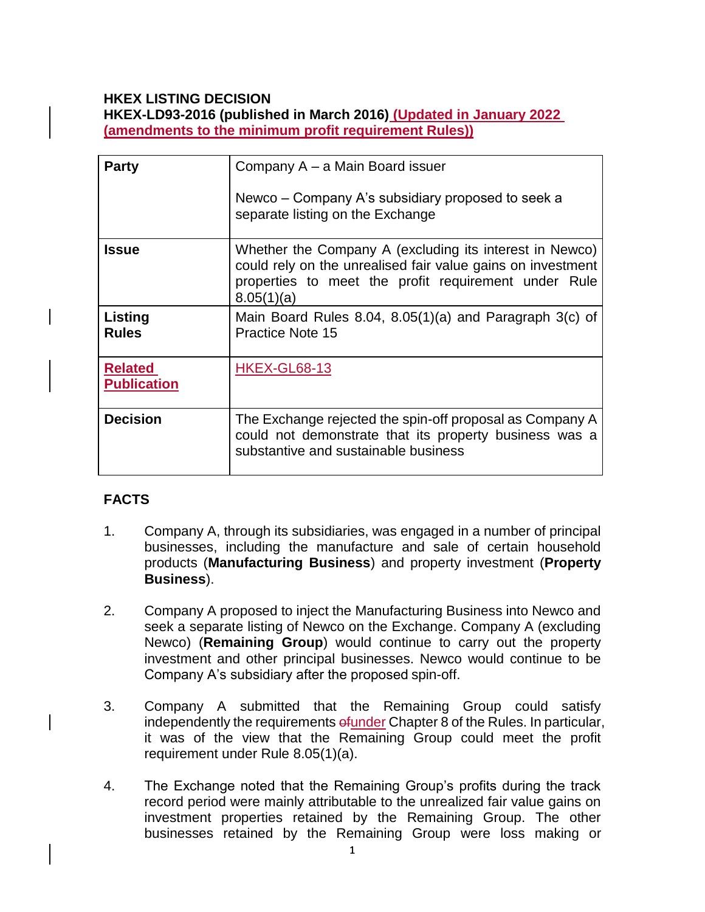### **HKEX LISTING DECISION**

**HKEX-LD93-2016 (published in March 2016) (Updated in January 2022 (amendments to the minimum profit requirement Rules))**

| <b>Party</b>                         | Company A – a Main Board issuer<br>Newco – Company A's subsidiary proposed to seek a<br>separate listing on the Exchange                                                                     |
|--------------------------------------|----------------------------------------------------------------------------------------------------------------------------------------------------------------------------------------------|
| <b>Issue</b>                         | Whether the Company A (excluding its interest in Newco)<br>could rely on the unrealised fair value gains on investment<br>properties to meet the profit requirement under Rule<br>8.05(1)(a) |
| <b>Listing</b><br><b>Rules</b>       | Main Board Rules 8.04, 8.05(1)(a) and Paragraph 3(c) of<br><b>Practice Note 15</b>                                                                                                           |
| <b>Related</b><br><b>Publication</b> | <b>HKEX-GL68-13</b>                                                                                                                                                                          |
| <b>Decision</b>                      | The Exchange rejected the spin-off proposal as Company A<br>could not demonstrate that its property business was a<br>substantive and sustainable business                                   |

# **FACTS**

- 1. Company A, through its subsidiaries, was engaged in a number of principal businesses, including the manufacture and sale of certain household products (**Manufacturing Business**) and property investment (**Property Business**).
- 2. Company A proposed to inject the Manufacturing Business into Newco and seek a separate listing of Newco on the Exchange. Company A (excluding Newco) (**Remaining Group**) would continue to carry out the property investment and other principal businesses. Newco would continue to be Company A's subsidiary after the proposed spin-off.
- 3. Company A submitted that the Remaining Group could satisfy independently the requirements efunder Chapter 8 of the Rules. In particular, it was of the view that the Remaining Group could meet the profit requirement under Rule 8.05(1)(a).
- 4. The Exchange noted that the Remaining Group's profits during the track record period were mainly attributable to the unrealized fair value gains on investment properties retained by the Remaining Group. The other businesses retained by the Remaining Group were loss making or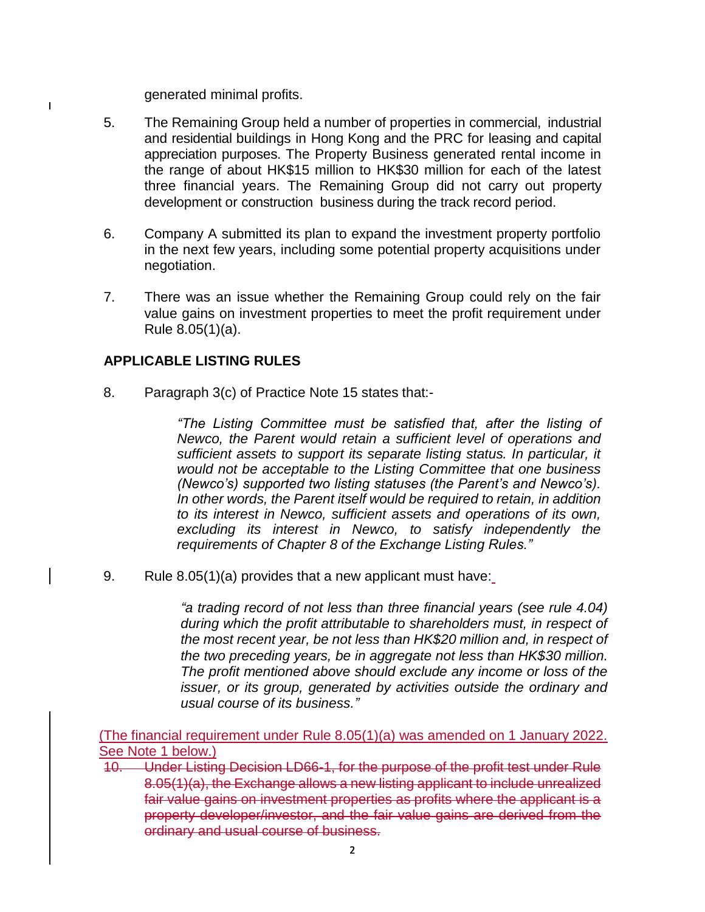generated minimal profits.

 $\overline{\phantom{a}}$ 

- 5. The Remaining Group held a number of properties in commercial, industrial and residential buildings in Hong Kong and the PRC for leasing and capital appreciation purposes. The Property Business generated rental income in the range of about HK\$15 million to HK\$30 million for each of the latest three financial years. The Remaining Group did not carry out property development or construction business during the track record period.
- 6. Company A submitted its plan to expand the investment property portfolio in the next few years, including some potential property acquisitions under negotiation.
- 7. There was an issue whether the Remaining Group could rely on the fair value gains on investment properties to meet the profit requirement under Rule 8.05(1)(a).

## **APPLICABLE LISTING RULES**

8. Paragraph 3(c) of Practice Note 15 states that:-

*"The Listing Committee must be satisfied that, after the listing of Newco, the Parent would retain a sufficient level of operations and sufficient assets to support its separate listing status. In particular, it would not be acceptable to the Listing Committee that one business (Newco's) supported two listing statuses (the Parent's and Newco's). In other words, the Parent itself would be required to retain, in addition to its interest in Newco, sufficient assets and operations of its own, excluding its interest in Newco, to satisfy independently the requirements of Chapter 8 of the Exchange Listing Rules."*

9. Rule 8.05(1)(a) provides that a new applicant must have:

*"a trading record of not less than three financial years (see rule 4.04) during which the profit attributable to shareholders must, in respect of the most recent year, be not less than HK\$20 million and, in respect of the two preceding years, be in aggregate not less than HK\$30 million. The profit mentioned above should exclude any income or loss of the issuer, or its group, generated by activities outside the ordinary and usual course of its business."*

(The financial requirement under Rule 8.05(1)(a) was amended on 1 January 2022. See Note 1 below.)

10. Under Listing Decision LD66-1, for the purpose of the profit test under Rule 8.05(1)(a), the Exchange allows a new listing applicant to include unrealized fair value gains on investment properties as profits where the applicant is a property developer/investor, and the fair value gains are derived from the ordinary and usual course of business.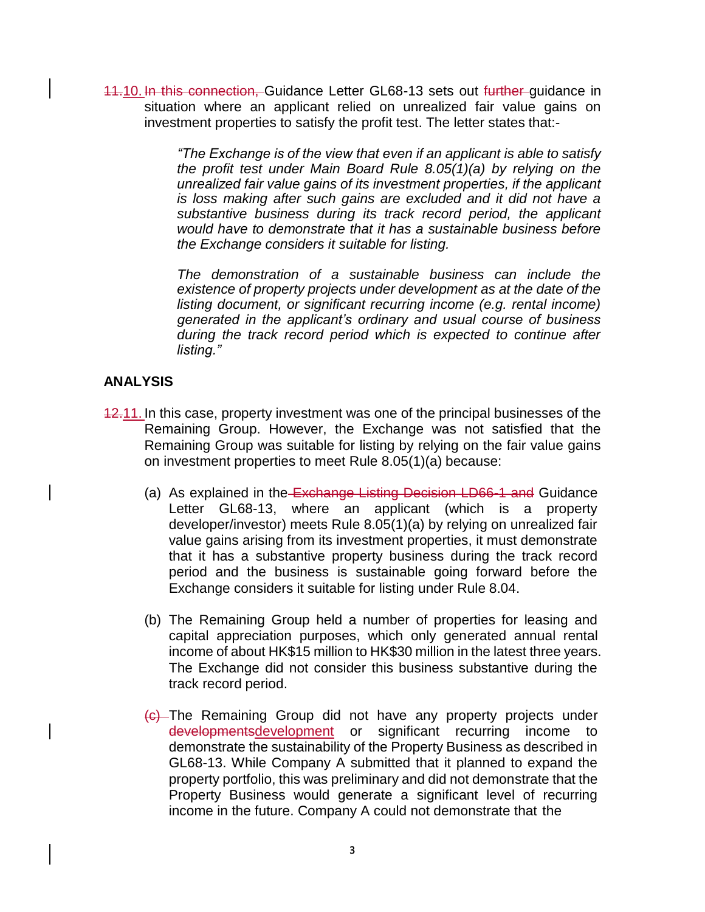11.10. In this connection, Guidance Letter GL68-13 sets out further guidance in situation where an applicant relied on unrealized fair value gains on investment properties to satisfy the profit test. The letter states that:-

> *"The Exchange is of the view that even if an applicant is able to satisfy the profit test under Main Board Rule 8.05(1)(a) by relying on the unrealized fair value gains of its investment properties, if the applicant is loss making after such gains are excluded and it did not have a substantive business during its track record period, the applicant would have to demonstrate that it has a sustainable business before the Exchange considers it suitable for listing.*

> *The demonstration of a sustainable business can include the existence of property projects under development as at the date of the listing document, or significant recurring income (e.g. rental income) generated in the applicant's ordinary and usual course of business during the track record period which is expected to continue after listing."*

## **ANALYSIS**

- 12.11. In this case, property investment was one of the principal businesses of the Remaining Group. However, the Exchange was not satisfied that the Remaining Group was suitable for listing by relying on the fair value gains on investment properties to meet Rule 8.05(1)(a) because:
	- (a) As explained in the Exchange Listing Decision LD66-1 and Guidance Letter GL68-13, where an applicant (which is a property developer/investor) meets Rule 8.05(1)(a) by relying on unrealized fair value gains arising from its investment properties, it must demonstrate that it has a substantive property business during the track record period and the business is sustainable going forward before the Exchange considers it suitable for listing under Rule 8.04.
	- (b) The Remaining Group held a number of properties for leasing and capital appreciation purposes, which only generated annual rental income of about HK\$15 million to HK\$30 million in the latest three years. The Exchange did not consider this business substantive during the track record period.
	- (c) The Remaining Group did not have any property projects under developmentsdevelopment or significant recurring income to demonstrate the sustainability of the Property Business as described in GL68-13. While Company A submitted that it planned to expand the property portfolio, this was preliminary and did not demonstrate that the Property Business would generate a significant level of recurring income in the future. Company A could not demonstrate that the